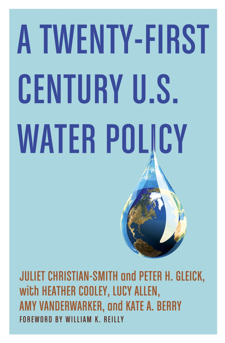# **A TWENTY-FIRST CENTURY U.S. WATER POLICY**

**JULIET CHRISTIAN-SMITH and PETER H. GLEICK,** with HEATHER COOLEY, LUCY ALLEN, AMY VANDERWARKER, and KATE A. BERRY FOREWORD BY WILLIAM K. REILLY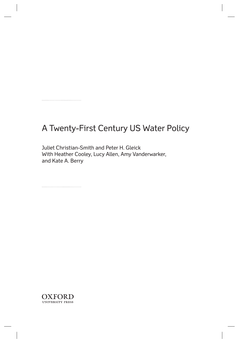## A Twenty-First Century US Water Policy

 Juliet Christian-Smith and Peter H. Gleick With Heather Cooley, Lucy Allen, Amy Vanderwarker, and Kate A. Berry

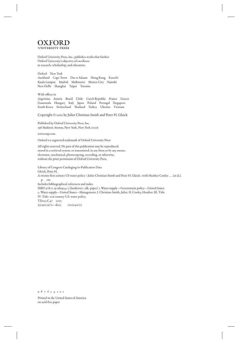

 Oxford University Press, Inc., publishes works that further Oxford University's objective of excellence in research, scholarship, and education.

 Oxford New York Auckland Cape Town Dar es Salaam Hong Kong Karachi Kuala Lumpur Madrid Melbourne Mexico City Nairobi New Delhi Shanghai Taipei Toronto

With offices in Argentina Austria Brazil Chile Czech Republic France Greece Guatemala Hungary Italy Japan Poland Portugal Singapore South Korea Switzerland Thailand Turkey Ukraine Vietnam

Copyright © 2012 by Juliet Christian-Smith and Peter H. Gleick

 Published by Oxford University Press, Inc. 198 Madison Avenue, New York, New York 10016

www.oup.com

Oxford is a registered trademark of Oxford University Press

 All rights reserved. No part of this publication may be reproduced, stored in a retrieval system, or transmitted, in any form or by any means, electronic, mechanical, photocopying, recording, or otherwise, without the prior permission of Oxford University Press.

 Library of Congress Cataloging-in-Publication Data Gleick, Peter H. A twenty-first century US water policy / Juliet Christian-Smith and Peter H. Gleick ; with Heather Cooley . . . [et al.]. p. cm. Includes bibliographical references and index. ISBN 978-0-19-985944-3 (hardcover : alk. paper) 1. Water-supply—Government policy—United States. 2. Water-supply—United States—Management. I. Christian-Smith, Juliet. II. Cooley, Heather. III. Title. IV. Title: 21st century U.S. water policy. TD223.C47 2012 333.9100973—dc23 2011041073

9 8 7 6 5 4 3 2 1

 Printed in the United States of America on acid-free paper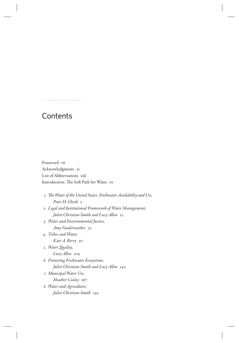### **Contents**

 Foreword vii Acknowledgments xi List of Abbreviations xiii Introduction: The Soft Path for Water xv

 *1. Th e Water of the United States: Freshwater Availability and Use, Peter H. Gleick* 3 *2. Legal and Institutional Framework of Water Management, Juliet Christian-Smith and Lucy Allen* 23  *3. Water and Environmental Justice, Amy Vanderwarker 5*2  *4. Tribes and Water, Kate A. Berry* 90  *5. Water Quality,* 

*Lucy Allen* 109  *6. Protecting Freshwater Ecosystems,* 

*Juliet Christian-Smith and Lucy Allen* 142

 *7. Municipal Water Use,* 

*Heather Cooley* 167

 *8. Water and Agriculture, Juliet Christian-Smith* 195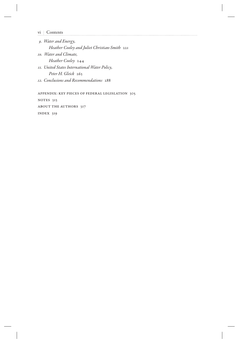vi Contents

 *9. Water and Energy, Heather Cooley and Juliet Christian-Smith* 221  *10. Water and Climate, Heather Cooley* 244  *11. United States International Water Policy, Peter H. Gleick* 263  *12. Conclusions and Recommendations* 288

 Appendix: Key Pieces of Federal Legislation 305 NOTES 313 ABOUT THE AUTHORS 317 Index 319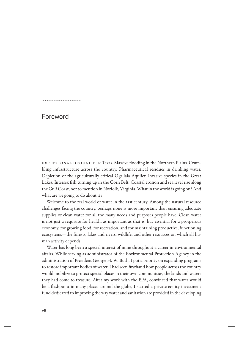#### Foreword

EXCEPTIONAL DROUGHT IN Texas. Massive flooding in the Northern Plains. Crumbling infrastructure across the country. Pharmaceutical residues in drinking water. Depletion of the agriculturally critical Ogallala Aquifer. Invasive species in the Great Lakes. Intersex fish turning up in the Corn Belt. Coastal erosion and sea level rise along the Gulf Coast, not to mention in Norfolk, Virginia. What in the world is going on? And what are we going to do about it?

 Welcome to the real world of water in the 21st century. Among the natural resource challenges facing the country, perhaps none is more important than ensuring adequate supplies of clean water for all the many needs and purposes people have. Clean water is not just a requisite for health, as important as that is, but essential for a prosperous economy, for growing food, for recreation, and for maintaining productive, functioning ecosystems—the forests, lakes and rivers, wildlife, and other resources on which all human activity depends.

 Water has long been a special interest of mine throughout a career in environmental affairs. While serving as administrator of the Environmental Protection Agency in the administration of President George H. W. Bush, I put a priority on expanding programs to restore important bodies of water. I had seen firsthand how people across the country would mobilize to protect special places in their own communities, the lands and waters they had come to treasure. After my work with the EPA, convinced that water would be a flashpoint in many places around the globe, I started a private equity investment fund dedicated to improving the way water and sanitation are provided in the developing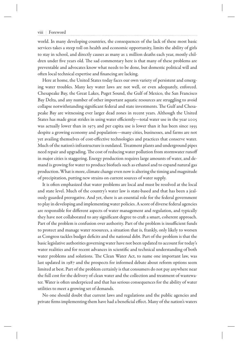#### viii Foreword

world. In many developing countries, the consequences of the lack of these most basic services takes a steep toll on health and economic opportunity, limits the ability of girls to stay in school, and directly causes as many as 2 million deaths each year, mostly children under five years old. The sad commentary here is that many of these problems are preventable and advocates know what needs to be done, but domestic political will and often local technical expertise and financing are lacking.

 Here at home, the United States today faces our own variety of persistent and emerging water troubles. Many key water laws are not well, or even adequately, enforced. Chesapeake Bay, the Great Lakes, Puget Sound, the Gulf of Mexico, the San Francisco Bay Delta, and any number of other important aquatic resources are struggling to avoid collapse notwithstanding significant federal and state investments. The Gulf and Chesapeake Bay are witnessing ever larger dead zones in recent years. Although the United States has made great strides in using water efficiently—total water use in the year 2005 was actually lower than in 1975 and per capita use is lower than it has been since 1955 despite a growing economy and population—many cities, businesses, and farms are not yet availing themselves of cost-effective technologies and practices that conserve water. Much of the nation's infrastructure is outdated. Treatment plants and underground pipes need repair and upgrading. The cost of reducing water pollution from stormwater runoff in major cities is staggering. Energy production requires large amounts of water, and demand is growing for water to produce biofuels such as ethanol and to expand natural gas production. What is more, climate change even now is altering the timing and magnitude of precipitation, putting new strains on current sources of water supply.

It is often emphasized that water problems are local and must be resolved at the local and state level. Much of the country's water law is state-based and that has been a jealously guarded prerogative. And yet, there is an essential role for the federal government to play in developing and implementing water policies. A score of diverse federal agencies are responsible for different aspects of water management and regulation, and typically they have not collaborated to any significant degree to craft a smart, coherent approach. Part of the problem is confusion over authority. Part of the problem is insufficient funds to protect and manage water resources, a situation that is, frankly, only likely to worsen as Congress tackles budget deficits and the national debt. Part of the problem is that the basic legislative authorities governing water have not been updated to account for today's water realities and for recent advances in scientific and technical understanding of both water problems and solutions. The Clean Water Act, to name one important law, was last updated in 1987 and the prospects for informed debate about reform options seem limited at best. Part of the problem certainly is that consumers do not pay anywhere near the full cost for the delivery of clean water and the collection and treatment of wastewater. Water is often underpriced and that has serious consequences for the ability of water utilities to meet a growing set of demands.

 No one should doubt that current laws and regulations and the public agencies and private firms implementing them have had a beneficial effect. Many of the nation's waters